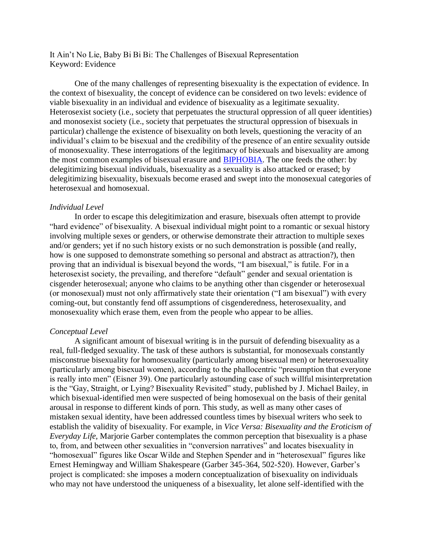It Ain't No Lie, Baby Bi Bi Bi: The Challenges of Bisexual Representation Keyword: Evidence

One of the many challenges of representing bisexuality is the expectation of evidence. In the context of bisexuality, the concept of evidence can be considered on two levels: evidence of viable bisexuality in an individual and evidence of bisexuality as a legitimate sexuality. Heterosexist society (i.e., society that perpetuates the structural oppression of all queer identities) and monosexist society (i.e., society that perpetuates the structural oppression of bisexuals in particular) challenge the existence of bisexuality on both levels, questioning the veracity of an individual's claim to be bisexual and the credibility of the presence of an entire sexuality outside of monosexuality. These interrogations of the legitimacy of bisexuals and bisexuality are among the most common examples of bisexual erasure and [BIPHOBIA.](http://bi-representation.com/biphobia) The one feeds the other: by delegitimizing bisexual individuals, bisexuality as a sexuality is also attacked or erased; by delegitimizing bisexuality, bisexuals become erased and swept into the monosexual categories of heterosexual and homosexual.

## *Individual Level*

In order to escape this delegitimization and erasure, bisexuals often attempt to provide "hard evidence" of bisexuality. A bisexual individual might point to a romantic or sexual history involving multiple sexes or genders, or otherwise demonstrate their attraction to multiple sexes and/or genders; yet if no such history exists or no such demonstration is possible (and really, how is one supposed to demonstrate something so personal and abstract as attraction?), then proving that an individual is bisexual beyond the words, "I am bisexual," is futile. For in a heterosexist society, the prevailing, and therefore "default" gender and sexual orientation is cisgender heterosexual; anyone who claims to be anything other than cisgender or heterosexual (or monosexual) must not only affirmatively state their orientation ("I am bisexual") with every coming-out, but constantly fend off assumptions of cisgenderedness, heterosexuality, and monosexuality which erase them, even from the people who appear to be allies.

## *Conceptual Level*

A significant amount of bisexual writing is in the pursuit of defending bisexuality as a real, full-fledged sexuality. The task of these authors is substantial, for monosexuals constantly misconstrue bisexuality for homosexuality (particularly among bisexual men) or heterosexuality (particularly among bisexual women), according to the phallocentric "presumption that everyone is really into men" (Eisner 39). One particularly astounding case of such willful misinterpretation is the "Gay, Straight, or Lying? Bisexuality Revisited" study, published by J. Michael Bailey, in which bisexual-identified men were suspected of being homosexual on the basis of their genital arousal in response to different kinds of porn. This study, as well as many other cases of mistaken sexual identity, have been addressed countless times by bisexual writers who seek to establish the validity of bisexuality. For example, in *Vice Versa: Bisexuality and the Eroticism of Everyday Life,* Marjorie Garber contemplates the common perception that bisexuality is a phase to, from, and between other sexualities in "conversion narratives" and locates bisexuality in "homosexual" figures like Oscar Wilde and Stephen Spender and in "heterosexual" figures like Ernest Hemingway and William Shakespeare (Garber 345-364, 502-520). However, Garber's project is complicated: she imposes a modern conceptualization of bisexuality on individuals who may not have understood the uniqueness of a bisexuality, let alone self-identified with the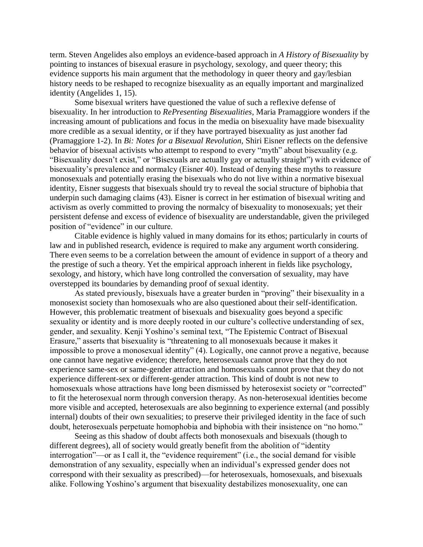term. Steven Angelides also employs an evidence-based approach in *A History of Bisexuality* by pointing to instances of bisexual erasure in psychology, sexology, and queer theory; this evidence supports his main argument that the methodology in queer theory and gay/lesbian history needs to be reshaped to recognize bisexuality as an equally important and marginalized identity (Angelides 1, 15).

Some bisexual writers have questioned the value of such a reflexive defense of bisexuality. In her introduction to *RePresenting Bisexualities*, Maria Pramaggiore wonders if the increasing amount of publications and focus in the media on bisexuality have made bisexuality more credible as a sexual identity, or if they have portrayed bisexuality as just another fad (Pramaggiore 1-2). In *Bi: Notes for a Bisexual Revolution,* Shiri Eisner reflects on the defensive behavior of bisexual activists who attempt to respond to every "myth" about bisexuality (e.g. "Bisexuality doesn't exist," or "Bisexuals are actually gay or actually straight") with evidence of bisexuality's prevalence and normalcy (Eisner 40). Instead of denying these myths to reassure monosexuals and potentially erasing the bisexuals who do not live within a normative bisexual identity, Eisner suggests that bisexuals should try to reveal the social structure of biphobia that underpin such damaging claims (43). Eisner is correct in her estimation of bisexual writing and activism as overly committed to proving the normalcy of bisexuality to monosexuals; yet their persistent defense and excess of evidence of bisexuality are understandable, given the privileged position of "evidence" in our culture.

Citable evidence is highly valued in many domains for its ethos; particularly in courts of law and in published research, evidence is required to make any argument worth considering. There even seems to be a correlation between the amount of evidence in support of a theory and the prestige of such a theory. Yet the empirical approach inherent in fields like psychology, sexology, and history, which have long controlled the conversation of sexuality, may have overstepped its boundaries by demanding proof of sexual identity.

As stated previously, bisexuals have a greater burden in "proving" their bisexuality in a monosexist society than homosexuals who are also questioned about their self-identification. However, this problematic treatment of bisexuals and bisexuality goes beyond a specific sexuality or identity and is more deeply rooted in our culture's collective understanding of sex, gender, and sexuality. Kenji Yoshino's seminal text, "The Epistemic Contract of Bisexual Erasure," asserts that bisexuality is "threatening to all monosexuals because it makes it impossible to prove a monosexual identity" (4). Logically, one cannot prove a negative, because one cannot have negative evidence; therefore, heterosexuals cannot prove that they do not experience same-sex or same-gender attraction and homosexuals cannot prove that they do not experience different-sex or different-gender attraction. This kind of doubt is not new to homosexuals whose attractions have long been dismissed by heterosexist society or "corrected" to fit the heterosexual norm through conversion therapy. As non-heterosexual identities become more visible and accepted, heterosexuals are also beginning to experience external (and possibly internal) doubts of their own sexualities; to preserve their privileged identity in the face of such doubt, heterosexuals perpetuate homophobia and biphobia with their insistence on "no homo."

Seeing as this shadow of doubt affects both monosexuals and bisexuals (though to different degrees), all of society would greatly benefit from the abolition of "identity interrogation"—or as I call it, the "evidence requirement" (i.e., the social demand for visible demonstration of any sexuality, especially when an individual's expressed gender does not correspond with their sexuality as prescribed)—for heterosexuals, homosexuals, and bisexuals alike. Following Yoshino's argument that bisexuality destabilizes monosexuality, one can